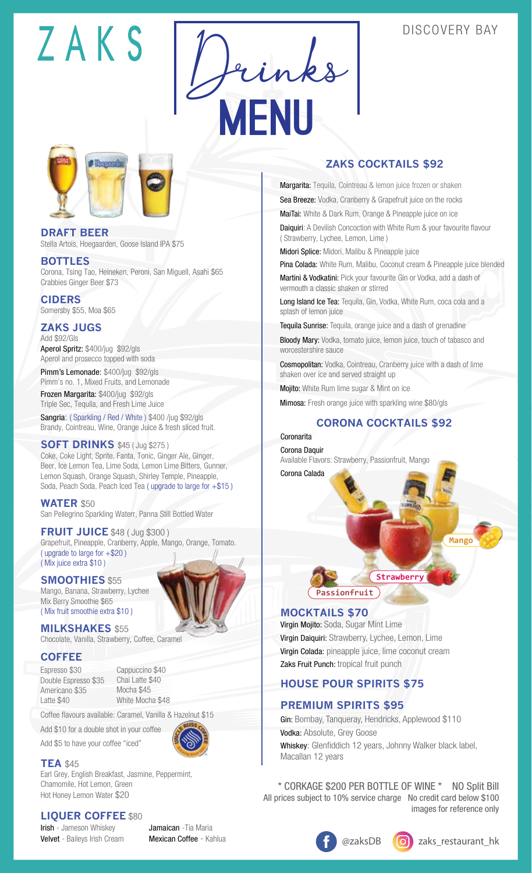## 7AKS

## DISCOVERY BAY





**DRAFT BEER** Stella Artois, Hoegaarden, Goose Island IPA \$75

#### **BOTTLES**

Corona, Tsing Tao, Heineken, Peroni, San Miguell, Asahi \$65 Crabbies Ginger Beer \$73

**CIDERS** Somersby \$55, Moa \$65

**ZAKS JUGS** Add \$92/Gls

Aperol Spritz: \$400/jug \$92/gls Aperol and prosecco topped with soda

Pimm's Lemonade: \$400/jug \$92/gls Pimm's no. 1, Mixed Fruits, and Lemonade Frozen Margarita: \$400/jug \$92/gls Triple Sec, Tequila, and Fresh Lime Juice

Sangria: ( Sparkling / Red / White ) \$400 /jug \$92/gls Brandy, Cointreau, Wine, Orange Juice & fresh sliced fruit.

**SOFT DRINKS** \$45 ( Jug \$275 ) Coke, Coke Light, Sprite, Fanta, Tonic, Ginger Ale, Ginger, Beer, Ice Lemon Tea, Lime Soda, Lemon Lime Bitters, Gunner, Lemon Squash, Orange Squash, Shirley Temple, Pineapple, Soda, Peach Soda, Peach Iced Tea ( upgrade to large for +\$15 )

**WATER** \$50 San Pellegrino Sparkling Waterr, Panna Still Bottled Water

**FRUIT JUICE** \$48 ( Jug \$300 ) Grapefruit, Pineapple, Cranberry, Apple, Mango, Orange, Tomato. ( upgrade to large for +\$20 ) ( Mix juice extra \$10 )

**SMOOTHIES** \$55 Mango, Banana, Strawberry, Lychee Mix Berry Smoothie \$65 ( Mix fruit smoothie extra \$10 )

**MILKSHAKES** \$55 Chocolate, Vanilla, Strawberry, Coffee, Caramel

#### **COFFEE**

Espresso \$30 Double Espresso \$35 Americano \$35 Latte \$40

Cappuccino \$40 Chai Latte \$40 Mocha \$45 White Mocha \$48

Coffee flavours available: Caramel, Vanilla & Hazelnut \$15

Add \$10 for a double shot in your coffee

Add \$5 to have your coffee "iced"

#### **TEA** \$45

Earl Grey, English Breakfast, Jasmine, Peppermint, Chamomile, Hot Lemon, Green Hot Honey Lemon Water \$20

#### **LIQUER COFFEE** \$80

Irish - Jameson Whiskey Velvet - Baileys Irish Cream Jamaican - Tia Maria Mexican Coffee - Kahlua

## **ZAKS COCKTAILS \$92**

Margarita: Tequila, Cointreau & lemon juice frozen or shaken Sea Breeze: Vodka, Cranberry & Grapefruit juice on the rocks

MaiTai: White & Dark Rum, Orange & Pineapple juice on ice

Daiquiri: A Devilish Concoction with White Rum & your favourite flavour ( Strawberry, Lychee, Lemon, Lime )

Midori Splice: Midori, Malibu & Pineapple juice

Pina Colada: White Rum, Malibu, Coconut cream & Pineapple juice blended Martini & Vodkatini: Pick your favourite Gin or Vodka, add a dash of vermouth a classic shaken or stirred

Long Island Ice Tea: Tequila, Gin, Vodka, White Rum, coca cola and a splash of lemon juice

Tequila Sunrise: Tequila, orange juice and a dash of grenadine

Bloody Mary: Vodka, tomato juice, lemon juice, touch of tabasco and worcestershire sauce

Cosmopolitan: Vodka, Cointreau, Cranberry juice with a dash of lime shaken over ice and served straight up

Mojito: White Rum lime sugar & Mint on ice

Mimosa: Fresh orange juice with sparkling wine \$80/gls

## **CORONA COCKTAILS \$92**

Coronarita Corona Daquir Available Flavors: Strawberry, Passionfruit, Mango Corona Calada



#### **MOCKTAILS \$70**

Virgin Mojito: Soda, Sugar Mint Lime Virgin Daiquiri: Strawberry, Lychee, Lemon, Lime Virgin Colada: pineapple juice, lime coconut cream Zaks Fruit Punch: tropical fruit punch

## **HOUSE POUR SPIRITS \$75**

#### **PREMIUM SPIRITS \$95**

Gin: Bombay, Tanqueray, Hendricks, Applewood \$110 Vodka: Absolute, Grey Goose Whiskey: Glenfiddich 12 years, Johnny Walker black label, Macallan 12 years

\* CORKAGE \$200 PER BOTTLE OF WINE \* NO Split Bill All prices subject to 10% service charge No credit card below \$100 images for reference only



**Mango**